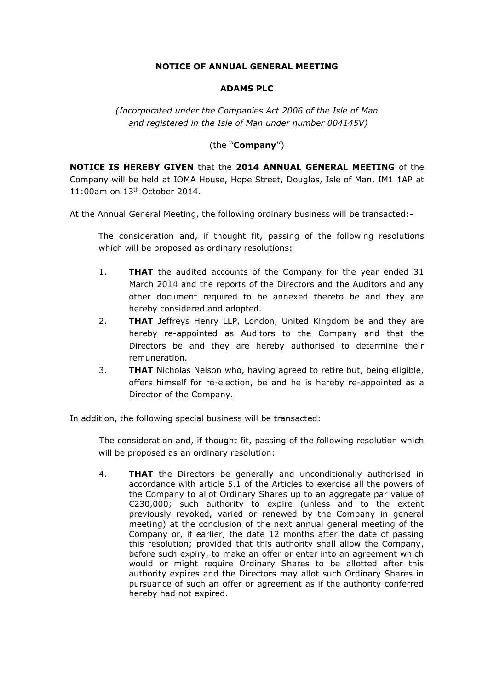## **NOTICE OF ANNUAL GENERAL MEETING**

## **ADAMS PLC**

*(Incorporated under the Companies Act 2006 of the Isle of Man and registered in the Isle of Man under number 004145V)*

## (the ''**Company**'')

**NOTICE IS HEREBY GIVEN** that the **2014 ANNUAL GENERAL MEETING** of the Company will be held at IOMA House, Hope Street, Douglas, Isle of Man, IM1 1AP at 11:00am on 13th October 2014.

At the Annual General Meeting, the following ordinary business will be transacted:-

The consideration and, if thought fit, passing of the following resolutions which will be proposed as ordinary resolutions:

- 1. **THAT** the audited accounts of the Company for the year ended 31 March 2014 and the reports of the Directors and the Auditors and any other document required to be annexed thereto be and they are hereby considered and adopted.
- 2. **THAT** Jeffreys Henry LLP, London, United Kingdom be and they are hereby re-appointed as Auditors to the Company and that the Directors be and they are hereby authorised to determine their remuneration.
- 3. **THAT** Nicholas Nelson who, having agreed to retire but, being eligible, offers himself for re-election, be and he is hereby re-appointed as a Director of the Company.

In addition, the following special business will be transacted:

The consideration and, if thought fit, passing of the following resolution which will be proposed as an ordinary resolution:

4. **THAT** the Directors be generally and unconditionally authorised in accordance with article 5.1 of the Articles to exercise all the powers of the Company to allot Ordinary Shares up to an aggregate par value of €230,000; such authority to expire (unless and to the extent previously revoked, varied or renewed by the Company in general meeting) at the conclusion of the next annual general meeting of the Company or, if earlier, the date 12 months after the date of passing this resolution; provided that this authority shall allow the Company, before such expiry, to make an offer or enter into an agreement which would or might require Ordinary Shares to be allotted after this authority expires and the Directors may allot such Ordinary Shares in pursuance of such an offer or agreement as if the authority conferred hereby had not expired.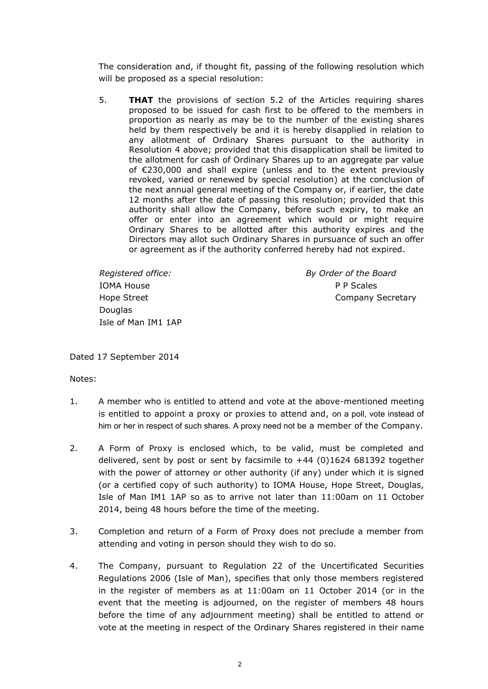The consideration and, if thought fit, passing of the following resolution which will be proposed as a special resolution:

5. **THAT** the provisions of section 5.2 of the Articles requiring shares proposed to be issued for cash first to be offered to the members in proportion as nearly as may be to the number of the existing shares held by them respectively be and it is hereby disapplied in relation to any allotment of Ordinary Shares pursuant to the authority in Resolution 4 above; provided that this disapplication shall be limited to the allotment for cash of Ordinary Shares up to an aggregate par value of €230,000 and shall expire (unless and to the extent previously revoked, varied or renewed by special resolution) at the conclusion of the next annual general meeting of the Company or, if earlier, the date 12 months after the date of passing this resolution; provided that this authority shall allow the Company, before such expiry, to make an offer or enter into an agreement which would or might require Ordinary Shares to be allotted after this authority expires and the Directors may allot such Ordinary Shares in pursuance of such an offer or agreement as if the authority conferred hereby had not expired.

IOMA House **P P Scales Douglas** Isle of Man IM1 1AP

*Registered office: By Order of the Board* Hope Street **Company Secretary** 

Dated 17 September 2014

Notes:

- 1. A member who is entitled to attend and vote at the above-mentioned meeting is entitled to appoint a proxy or proxies to attend and, on a poll, vote instead of him or her in respect of such shares. A proxy need not be a member of the Company.
- 2. A Form of Proxy is enclosed which, to be valid, must be completed and delivered, sent by post or sent by facsimile to +44 (0)1624 681392 together with the power of attorney or other authority (if any) under which it is signed (or a certified copy of such authority) to IOMA House, Hope Street, Douglas, Isle of Man IM1 1AP so as to arrive not later than 11:00am on 11 October 2014, being 48 hours before the time of the meeting.
- 3. Completion and return of a Form of Proxy does not preclude a member from attending and voting in person should they wish to do so.
- 4. The Company, pursuant to Regulation 22 of the Uncertificated Securities Regulations 2006 (Isle of Man), specifies that only those members registered in the register of members as at 11:00am on 11 October 2014 (or in the event that the meeting is adjourned, on the register of members 48 hours before the time of any adjournment meeting) shall be entitled to attend or vote at the meeting in respect of the Ordinary Shares registered in their name